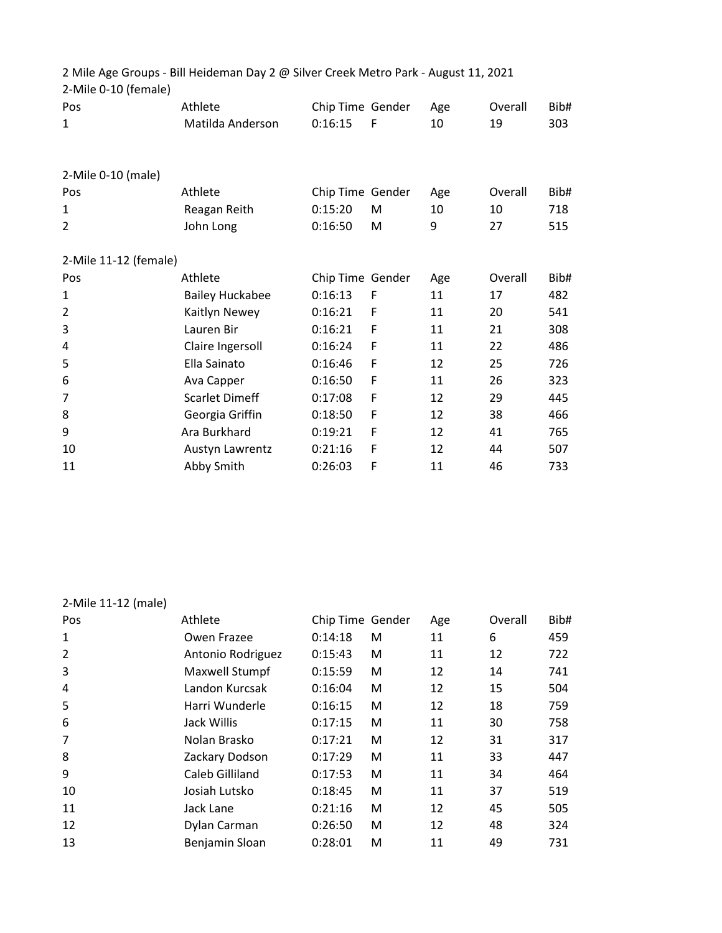| 2-Mile 0-10 (female)  | 2 Mile Age Groups - Bill Heideman Day 2 @ Silver Creek Metro Park - August 11, 2021 |                  |   |     |         |      |
|-----------------------|-------------------------------------------------------------------------------------|------------------|---|-----|---------|------|
| Pos                   | Athlete                                                                             | Chip Time Gender |   | Age | Overall | Bib# |
| $\mathbf{1}$          | Matilda Anderson                                                                    | 0:16:15          | F | 10  | 19      | 303  |
| 2-Mile 0-10 (male)    |                                                                                     |                  |   |     |         |      |
| Pos                   | Athlete                                                                             | Chip Time Gender |   | Age | Overall | Bib# |
| $\mathbf{1}$          | Reagan Reith                                                                        | 0:15:20          | M | 10  | 10      | 718  |
| $\overline{2}$        | John Long                                                                           | 0:16:50          | M | 9   | 27      | 515  |
| 2-Mile 11-12 (female) |                                                                                     |                  |   |     |         |      |
| Pos                   | Athlete                                                                             | Chip Time Gender |   | Age | Overall | Bib# |
| $\mathbf{1}$          | <b>Bailey Huckabee</b>                                                              | 0:16:13          | F | 11  | 17      | 482  |
| $\overline{2}$        | Kaitlyn Newey                                                                       | 0:16:21          | F | 11  | 20      | 541  |
| 3                     | Lauren Bir                                                                          | 0:16:21          | F | 11  | 21      | 308  |
| 4                     | Claire Ingersoll                                                                    | 0:16:24          | F | 11  | 22      | 486  |
| 5                     | Ella Sainato                                                                        | 0:16:46          | F | 12  | 25      | 726  |
| 6                     | Ava Capper                                                                          | 0:16:50          | F | 11  | 26      | 323  |
| 7                     | <b>Scarlet Dimeff</b>                                                               | 0:17:08          | F | 12  | 29      | 445  |
| 8                     | Georgia Griffin                                                                     | 0:18:50          | F | 12  | 38      | 466  |
| 9                     | Ara Burkhard                                                                        | 0:19:21          | F | 12  | 41      | 765  |
| 10                    | Austyn Lawrentz                                                                     | 0:21:16          | F | 12  | 44      | 507  |
| 11                    | Abby Smith                                                                          | 0:26:03          | F | 11  | 46      | 733  |

## 2-Mile 11-12 (male)

| Pos | Athlete           | Chip Time Gender |   | Age | Overall | Bib# |
|-----|-------------------|------------------|---|-----|---------|------|
| 1   | Owen Frazee       | 0:14:18          | M | 11  | 6       | 459  |
| 2   | Antonio Rodriguez | 0:15:43          | M | 11  | 12      | 722  |
| 3   | Maxwell Stumpf    | 0:15:59          | M | 12  | 14      | 741  |
| 4   | Landon Kurcsak    | 0:16:04          | M | 12  | 15      | 504  |
| 5   | Harri Wunderle    | 0:16:15          | M | 12  | 18      | 759  |
| 6   | Jack Willis       | 0:17:15          | M | 11  | 30      | 758  |
| 7   | Nolan Brasko      | 0:17:21          | M | 12  | 31      | 317  |
| 8   | Zackary Dodson    | 0:17:29          | M | 11  | 33      | 447  |
| 9   | Caleb Gilliland   | 0:17:53          | М | 11  | 34      | 464  |
| 10  | Josiah Lutsko     | 0:18:45          | M | 11  | 37      | 519  |
| 11  | Jack Lane         | 0:21:16          | M | 12  | 45      | 505  |
| 12  | Dylan Carman      | 0:26:50          | М | 12  | 48      | 324  |
| 13  | Benjamin Sloan    | 0:28:01          | м | 11  | 49      | 731  |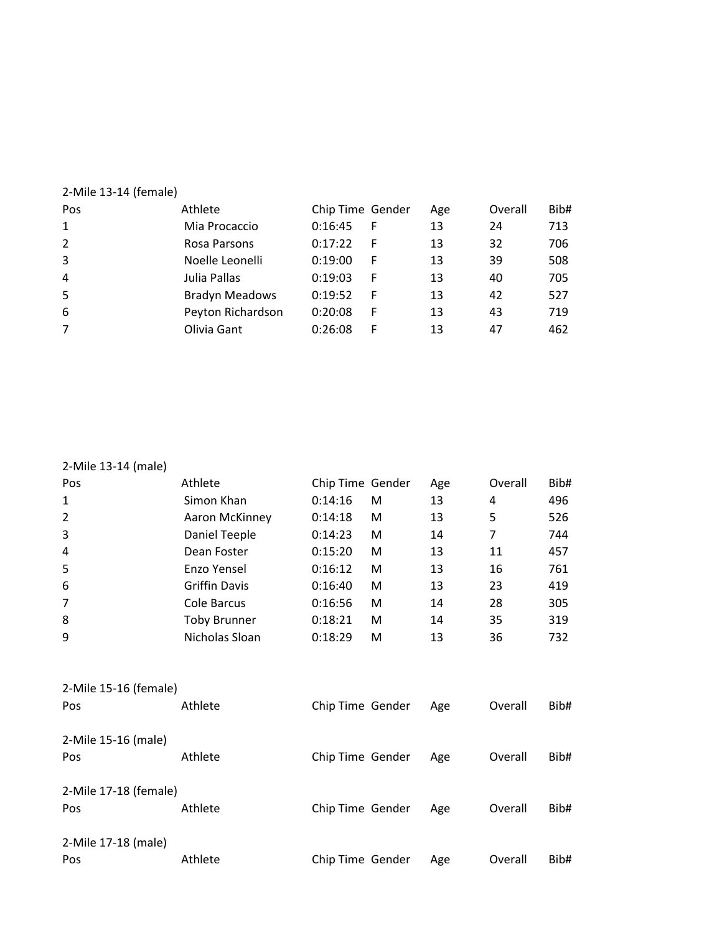| 2-Mile 13-14 (female) |                       |                  |   |     |         |      |
|-----------------------|-----------------------|------------------|---|-----|---------|------|
| Pos                   | Athlete               | Chip Time Gender |   | Age | Overall | Bib# |
| $\mathbf{1}$          | Mia Procaccio         | 0:16:45          | F | 13  | 24      | 713  |
| $\overline{2}$        | Rosa Parsons          | 0:17:22          | F | 13  | 32      | 706  |
| 3                     | Noelle Leonelli       | 0:19:00          | F | 13  | 39      | 508  |
| 4                     | Julia Pallas          | 0:19:03          | F | 13  | 40      | 705  |
| 5                     | <b>Bradyn Meadows</b> | 0:19:52          | F | 13  | 42      | 527  |
| 6                     | Peyton Richardson     | 0:20:08          | F | 13  | 43      | 719  |
| 7                     | Olivia Gant           | 0:26:08          | F | 13  | 47      | 462  |
|                       |                       |                  |   |     |         |      |

| 2-Mile 13-14 (male) |
|---------------------|
|---------------------|

| Pos                   | Athlete              | Chip Time Gender |   | Age | Overall | Bib# |
|-----------------------|----------------------|------------------|---|-----|---------|------|
| 1                     | Simon Khan           | 0:14:16          | M | 13  | 4       | 496  |
| $\overline{2}$        | Aaron McKinney       | 0:14:18          | M | 13  | 5       | 526  |
| 3                     | Daniel Teeple        | 0:14:23          | M | 14  | 7       | 744  |
| $\overline{4}$        | Dean Foster          | 0:15:20          | M | 13  | 11      | 457  |
| 5                     | Enzo Yensel          | 0:16:12          | M | 13  | 16      | 761  |
| 6                     | <b>Griffin Davis</b> | 0:16:40          | M | 13  | 23      | 419  |
| $\overline{7}$        | Cole Barcus          | 0:16:56          | M | 14  | 28      | 305  |
| 8                     | <b>Toby Brunner</b>  | 0:18:21          | M | 14  | 35      | 319  |
| 9                     | Nicholas Sloan       | 0:18:29          | M | 13  | 36      | 732  |
|                       |                      |                  |   |     |         |      |
| 2-Mile 15-16 (female) |                      |                  |   |     |         |      |
| Pos                   | Athlete              | Chip Time Gender |   | Age | Overall | Bib# |
|                       |                      |                  |   |     |         |      |
| 2-Mile 15-16 (male)   |                      |                  |   |     |         |      |
| Pos                   | Athlete              | Chip Time Gender |   | Age | Overall | Bib# |
| 2-Mile 17-18 (female) |                      |                  |   |     |         |      |
| Pos                   | Athlete              | Chip Time Gender |   | Age | Overall | Bib# |
|                       |                      |                  |   |     |         |      |
| 2-Mile 17-18 (male)   |                      |                  |   |     |         |      |
| Pos                   | Athlete              | Chip Time Gender |   | Age | Overall | Bib# |